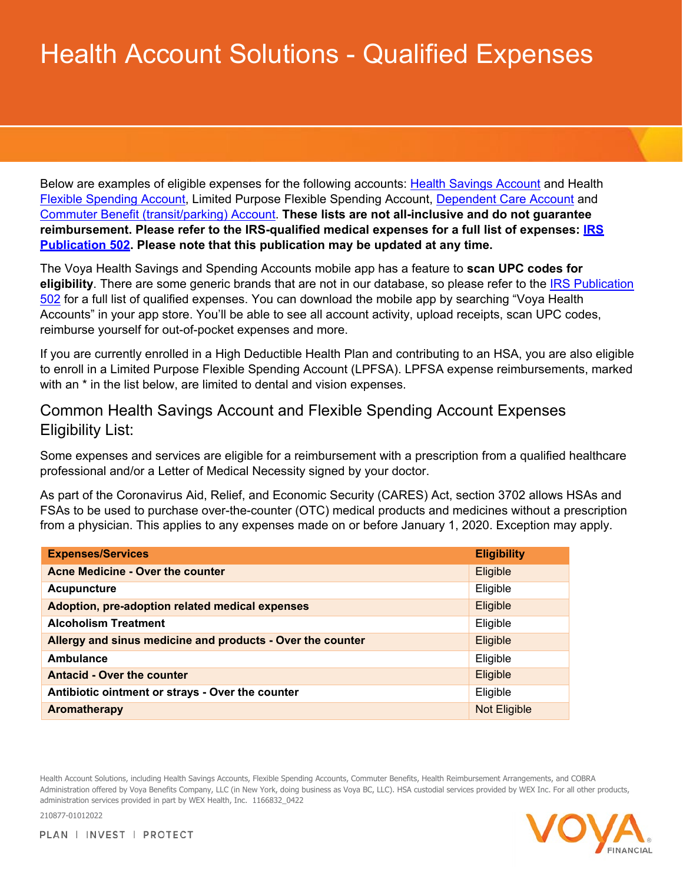## Health Account Solutions - Qualified Expenses

Below are examples of eligible expenses for the following accounts: [Health Savings Account](#page-0-0) and Health [Flexible Spending Account,](#page-0-0) Limited Purpose Flexible Spending Account, [Dependent Care Account](#page-3-0) and [Commuter Benefit \(transit/parking\) A](#page-3-0)ccount. **These lists are not all-inclusive and do not guarantee reimbursement. Please refer to the IRS-qualified medical expenses for a full list of expenses: [IRS](https://www.irs.gov/pub/irs-pdf/p502.pdf) [Publication 502.](https://www.irs.gov/pub/irs-pdf/p502.pdf) Please note that this publication may be updated at any time.**

The Voya Health Savings and Spending Accounts mobile app has a feature to **scan UPC codes for eligibility**. There are some generic brands that are not in our database, so please refer to the [IRS Publication](https://www.irs.gov/pub/irs-pdf/p502.pdf) [502](https://www.irs.gov/pub/irs-pdf/p502.pdf) for a full list of qualified expenses. You can download the mobile app by searching "Voya Health Accounts" in your app store. You'll be able to see all account activity, upload receipts, scan UPC codes, reimburse yourself for out-of-pocket expenses and more.

If you are currently enrolled in a High Deductible Health Plan and contributing to an HSA, you are also eligible to enroll in a Limited Purpose Flexible Spending Account (LPFSA). LPFSA expense reimbursements, marked with an  $*$  in the list below, are limited to dental and vision expenses.

## <span id="page-0-0"></span>Common Health Savings Account and Flexible Spending Account Expenses Eligibility List:

Some expenses and services are eligible for a reimbursement with a prescription from a qualified healthcare professional and/or a Letter of Medical Necessity signed by your doctor.

As part of the Coronavirus Aid, Relief, and Economic Security (CARES) Act, section 3702 allows HSAs and FSAs to be used to purchase over-the-counter (OTC) medical products and medicines without a prescription from a physician. This applies to any expenses made on or before January 1, 2020. Exception may apply.

| <b>Expenses/Services</b>                                   | <b>Eligibility</b>  |
|------------------------------------------------------------|---------------------|
| Acne Medicine - Over the counter                           | Eligible            |
| <b>Acupuncture</b>                                         | Eligible            |
| Adoption, pre-adoption related medical expenses            | Eligible            |
| <b>Alcoholism Treatment</b>                                | Eligible            |
| Allergy and sinus medicine and products - Over the counter | Eligible            |
| Ambulance                                                  | Eligible            |
| <b>Antacid - Over the counter</b>                          | Eligible            |
| Antibiotic ointment or strays - Over the counter           | Eligible            |
| Aromatherapy                                               | <b>Not Eligible</b> |

Health Account Solutions, including Health Savings Accounts, Flexible Spending Accounts, Commuter Benefits, Health Reimbursement Arrangements, and COBRA Administration offered by Voya Benefits Company, LLC (in New York, doing business as Voya BC, LLC). HSA custodial services provided by WEX Inc. For all other products, administration services provided in part by WEX Health, Inc. 1166832\_0422

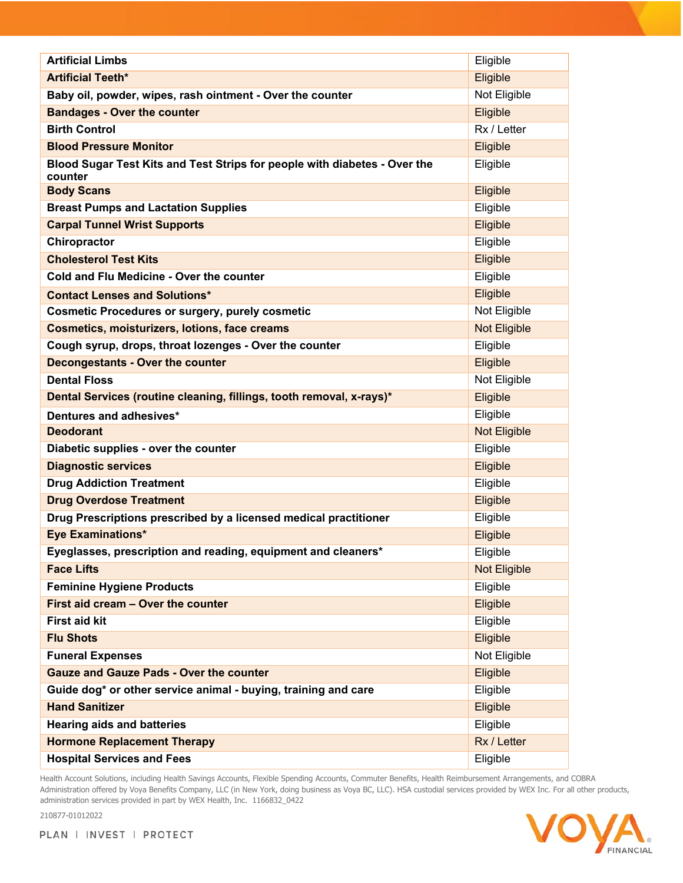| <b>Artificial Limbs</b>                                                              | Eligible            |
|--------------------------------------------------------------------------------------|---------------------|
| <b>Artificial Teeth*</b>                                                             | Eligible            |
| Baby oil, powder, wipes, rash ointment - Over the counter                            | Not Eligible        |
| <b>Bandages - Over the counter</b>                                                   | Eligible            |
| <b>Birth Control</b>                                                                 | Rx / Letter         |
| <b>Blood Pressure Monitor</b>                                                        | Eligible            |
| Blood Sugar Test Kits and Test Strips for people with diabetes - Over the<br>counter | Eligible            |
| <b>Body Scans</b>                                                                    | Eligible            |
| <b>Breast Pumps and Lactation Supplies</b>                                           | Eligible            |
| <b>Carpal Tunnel Wrist Supports</b>                                                  | Eligible            |
| Chiropractor                                                                         | Eligible            |
| <b>Cholesterol Test Kits</b>                                                         | Eligible            |
| <b>Cold and Flu Medicine - Over the counter</b>                                      | Eligible            |
| <b>Contact Lenses and Solutions*</b>                                                 | Eligible            |
| <b>Cosmetic Procedures or surgery, purely cosmetic</b>                               | Not Eligible        |
| <b>Cosmetics, moisturizers, lotions, face creams</b>                                 | <b>Not Eligible</b> |
| Cough syrup, drops, throat lozenges - Over the counter                               | Eligible            |
| <b>Decongestants - Over the counter</b>                                              | Eligible            |
| <b>Dental Floss</b>                                                                  | Not Eligible        |
| Dental Services (routine cleaning, fillings, tooth removal, x-rays)*                 | Eligible            |
| Dentures and adhesives*                                                              | Eligible            |
| <b>Deodorant</b>                                                                     | <b>Not Eligible</b> |
| Diabetic supplies - over the counter                                                 | Eligible            |
| <b>Diagnostic services</b>                                                           | Eligible            |
| <b>Drug Addiction Treatment</b>                                                      | Eligible            |
| <b>Drug Overdose Treatment</b>                                                       | Eligible            |
| Drug Prescriptions prescribed by a licensed medical practitioner                     | Eligible            |
| <b>Eye Examinations*</b>                                                             | Eligible            |
| Eyeglasses, prescription and reading, equipment and cleaners*                        | Eligible            |
| <b>Face Lifts</b>                                                                    | <b>Not Eligible</b> |
| <b>Feminine Hygiene Products</b>                                                     | Eligible            |
| First aid cream - Over the counter                                                   | Eligible            |
| <b>First aid kit</b>                                                                 | Eligible            |
| <b>Flu Shots</b>                                                                     | Eligible            |
| <b>Funeral Expenses</b>                                                              | Not Eligible        |
| <b>Gauze and Gauze Pads - Over the counter</b>                                       | Eligible            |
| Guide dog* or other service animal - buying, training and care                       | Eligible            |
| <b>Hand Sanitizer</b>                                                                |                     |
|                                                                                      | Eligible            |
| <b>Hearing aids and batteries</b>                                                    | Eligible            |
| <b>Hormone Replacement Therapy</b>                                                   | Rx / Letter         |

Health Account Solutions, including Health Savings Accounts, Flexible Spending Accounts, Commuter Benefits, Health Reimbursement Arrangements, and COBRA Administration offered by Voya Benefits Company, LLC (in New York, doing business as Voya BC, LLC). HSA custodial services provided by WEX Inc. For all other products, administration services provided in part by WEX Health, Inc. 1166832\_0422



PLAN | INVEST | PROTECT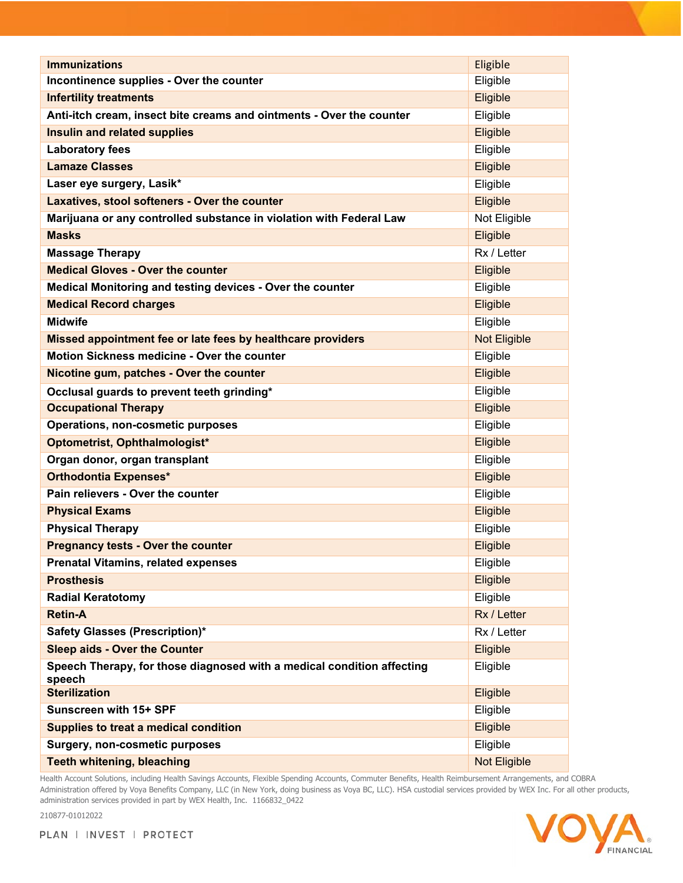| <b>Immunizations</b>                                                             | Eligible            |
|----------------------------------------------------------------------------------|---------------------|
| Incontinence supplies - Over the counter                                         | Eligible            |
| <b>Infertility treatments</b>                                                    | Eligible            |
| Anti-itch cream, insect bite creams and ointments - Over the counter             | Eligible            |
| <b>Insulin and related supplies</b>                                              | Eligible            |
| <b>Laboratory fees</b>                                                           | Eligible            |
| <b>Lamaze Classes</b>                                                            | Eligible            |
| Laser eye surgery, Lasik*                                                        | Eligible            |
| Laxatives, stool softeners - Over the counter                                    | Eligible            |
| Marijuana or any controlled substance in violation with Federal Law              | Not Eligible        |
| <b>Masks</b>                                                                     | Eligible            |
| <b>Massage Therapy</b>                                                           | Rx / Letter         |
| <b>Medical Gloves - Over the counter</b>                                         | Eligible            |
| Medical Monitoring and testing devices - Over the counter                        | Eligible            |
| <b>Medical Record charges</b>                                                    | Eligible            |
| <b>Midwife</b>                                                                   | Eligible            |
| Missed appointment fee or late fees by healthcare providers                      | <b>Not Eligible</b> |
| <b>Motion Sickness medicine - Over the counter</b>                               | Eligible            |
| Nicotine gum, patches - Over the counter                                         | Eligible            |
| Occlusal guards to prevent teeth grinding*                                       | Eligible            |
| <b>Occupational Therapy</b>                                                      | Eligible            |
| Operations, non-cosmetic purposes                                                | Eligible            |
| Optometrist, Ophthalmologist*                                                    | Eligible            |
| Organ donor, organ transplant                                                    | Eligible            |
| <b>Orthodontia Expenses*</b>                                                     | Eligible            |
| Pain relievers - Over the counter                                                | Eligible            |
| <b>Physical Exams</b>                                                            | Eligible            |
| <b>Physical Therapy</b>                                                          | Eligible            |
| <b>Pregnancy tests - Over the counter</b>                                        | Eligible            |
| <b>Prenatal Vitamins, related expenses</b>                                       | Eligible            |
| <b>Prosthesis</b>                                                                | Eligible            |
| <b>Radial Keratotomy</b>                                                         | Eligible            |
| <b>Retin-A</b>                                                                   | Rx / Letter         |
| <b>Safety Glasses (Prescription)*</b>                                            | Rx / Letter         |
| <b>Sleep aids - Over the Counter</b>                                             | Eligible            |
| Speech Therapy, for those diagnosed with a medical condition affecting<br>speech | Eligible            |
| <b>Sterilization</b>                                                             | Eligible            |
| Sunscreen with 15+ SPF                                                           | Eligible            |
| Supplies to treat a medical condition                                            | Eligible            |
| <b>Surgery, non-cosmetic purposes</b>                                            | Eligible            |
| <b>Teeth whitening, bleaching</b>                                                | Not Eligible        |

Health Account Solutions, including Health Savings Accounts, Flexible Spending Accounts, Commuter Benefits, Health Reimbursement Arrangements, and COBRA Administration offered by Voya Benefits Company, LLC (in New York, doing business as Voya BC, LLC). HSA custodial services provided by WEX Inc. For all other products, administration services provided in part by WEX Health, Inc. 1166832\_0422

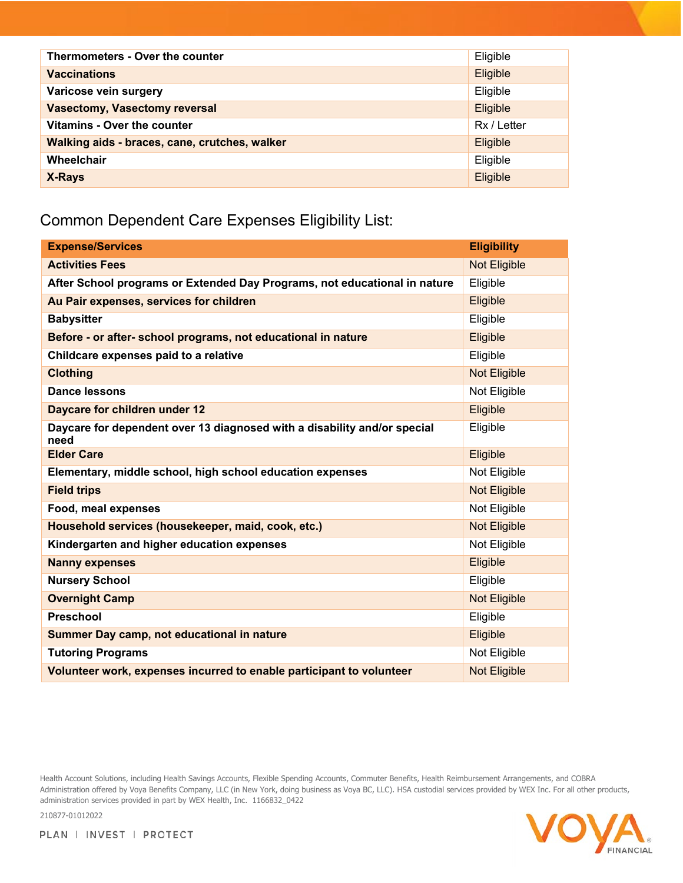| Thermometers - Over the counter               | Eligible    |
|-----------------------------------------------|-------------|
| <b>Vaccinations</b>                           | Eligible    |
| Varicose vein surgery                         | Eligible    |
| <b>Vasectomy, Vasectomy reversal</b>          | Eligible    |
| Vitamins - Over the counter                   | Rx / Letter |
| Walking aids - braces, cane, crutches, walker | Eligible    |
| Wheelchair                                    | Eligible    |
| X-Rays                                        | Eligible    |

## <span id="page-3-0"></span>Common Dependent Care Expenses Eligibility List:

| <b>Expense/Services</b>                                                          | <b>Eligibility</b>  |
|----------------------------------------------------------------------------------|---------------------|
| <b>Activities Fees</b>                                                           | <b>Not Eligible</b> |
| After School programs or Extended Day Programs, not educational in nature        | Eligible            |
| Au Pair expenses, services for children                                          | Eligible            |
| <b>Babysitter</b>                                                                | Eligible            |
| Before - or after- school programs, not educational in nature                    | Eligible            |
| Childcare expenses paid to a relative                                            | Eligible            |
| <b>Clothing</b>                                                                  | Not Eligible        |
| <b>Dance lessons</b>                                                             | Not Eligible        |
| Daycare for children under 12                                                    | Eligible            |
| Daycare for dependent over 13 diagnosed with a disability and/or special<br>need | Eligible            |
| <b>Elder Care</b>                                                                | Eligible            |
| Elementary, middle school, high school education expenses                        | Not Eligible        |
| <b>Field trips</b>                                                               | Not Eligible        |
| Food, meal expenses                                                              | Not Eligible        |
| Household services (housekeeper, maid, cook, etc.)                               | Not Eligible        |
| Kindergarten and higher education expenses                                       | Not Eligible        |
| <b>Nanny expenses</b>                                                            | Eligible            |
| <b>Nursery School</b>                                                            | Eligible            |
| <b>Overnight Camp</b>                                                            | <b>Not Eligible</b> |
| <b>Preschool</b>                                                                 | Eligible            |
| Summer Day camp, not educational in nature                                       | Eligible            |
| <b>Tutoring Programs</b>                                                         | Not Eligible        |
| Volunteer work, expenses incurred to enable participant to volunteer             | <b>Not Eligible</b> |

Health Account Solutions, including Health Savings Accounts, Flexible Spending Accounts, Commuter Benefits, Health Reimbursement Arrangements, and COBRA Administration offered by Voya Benefits Company, LLC (in New York, doing business as Voya BC, LLC). HSA custodial services provided by WEX Inc. For all other products, administration services provided in part by WEX Health, Inc. 1166832\_0422



PLAN | INVEST | PROTECT